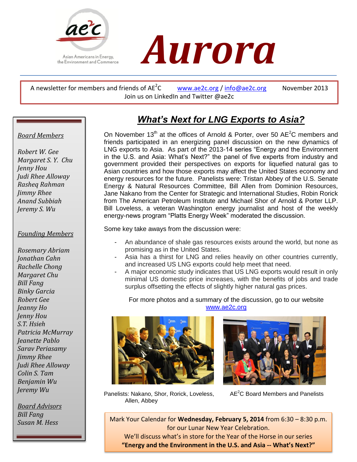



A newsletter for members and friends of  $AE^2C$ [www.ae2c.org](http://www.ae2c.org/) / [info@ae2c.org](mailto:info@ae2c.org) November 2013 Join us on LinkedIn and Twitter @ae2c

# *What's Next for LNG Exports to Asia?*

On November 13<sup>th</sup> at the offices of Arnold & Porter, over 50  $AE^2C$  members and friends participated in an energizing panel discussion on the new dynamics of LNG exports to Asia. As part of the 2013-14 series "Energy and the Environment in the U.S. and Asia: What's Next?" the panel of five experts from industry and government provided their perspectives on exports for liquefied natural gas to Asian countries and how those exports may affect the United States economy and energy resources for the future. Panelists were: Tristan Abbey of the U.S. Senate Energy & Natural Resources Committee, Bill Allen from Dominion Resources, Jane Nakano from the Center for Strategic and International Studies, Robin Rorick from The American Petroleum Institute and Michael Shor of Arnold & Porter LLP. Bill Loveless, a veteran Washington energy journalist and host of the weekly energy-news program "Platts Energy Week" moderated the discussion.

Some key take aways from the discussion were:

- An abundance of shale gas resources exists around the world, but none as promising as in the United States.
- Asia has a thirst for LNG and relies heavily on other countries currently, and increased US LNG exports could help meet that need.
- A major economic study indicates that US LNG exports would result in only minimal US domestic price increases, with the benefits of jobs and trade surplus offsetting the effects of slightly higher natural gas prices.

For more photos and a summary of the discussion, go to our website [www.ae2c.org](http://www.ae2c.org/)





Panelists: Nakano, Shor, Rorick, Loveless, AE<sup>2</sup>C Board Members and Panelists Allen, Abbey

*Susan M. Hess* Mark Your Calendar for **Wednesday, February 5, 2014** from 6:30 – 8:30 p.m. for our Lunar New Year Celebration.

> We'll discuss what's in store for the Year of the Horse in our series **"Energy and the Environment in the U.S. and Asia -- What's Next?"**

#### *Board Members*

 *Rasheq Rahman Robert W. Gee Margaret S. Y. Chu Jenny Hou Judi Rhee Alloway Jimmy Rhee Anand Subbiah Jeremy S. Wu*

#### *Founding Members*

 *Jimmy Rhee Jeremy Wu Rosemary Abriam Jonathan Cahn Rachelle Chong Margaret Chu Bill Fang Binky Garcia Robert Gee Jeanny Ho Jenny Hou S.T. Hsieh Patricia McMurray Jeanette Pablo Sarav Periasamy Judi Rhee Alloway Colin S. Tam Benjamin Wu*

*Board Advisors Bill Fang*